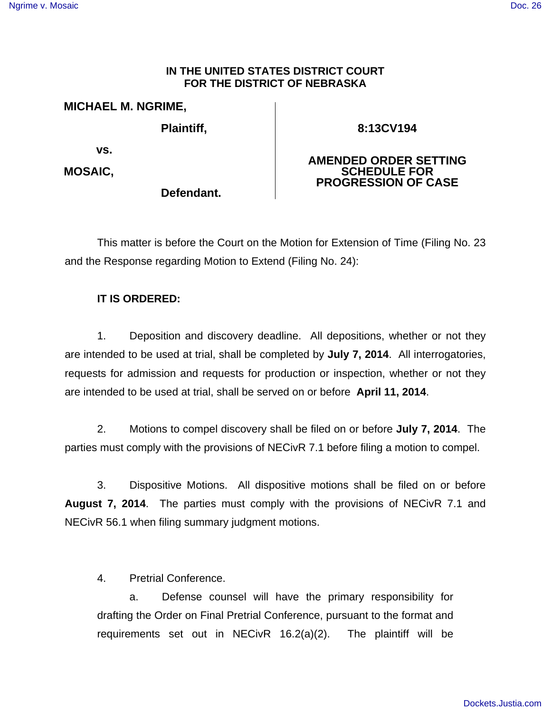## [Ngrime v. Mosaic](http://dockets.justia.com/docket/nebraska/nedce/8:2013cv00194/63429/) **[Doc. 26](http://docs.justia.com/cases/federal/district-courts/nebraska/nedce/8:2013cv00194/63429/26/)**

## **IN THE UNITED STATES DISTRICT COURT FOR THE DISTRICT OF NEBRASKA**

## **MICHAEL M. NGRIME,**

**Plaintiff,** 

**Defendant.**

**8:13CV194** 

**AMENDED ORDER SETTING** 

 **vs.** 

**MOSAIC,** 

**SCHEDULE FOR PROGRESSION OF CASE** 

 This matter is before the Court on the Motion for Extension of Time (Filing No. 23 and the Response regarding Motion to Extend (Filing No. 24):

## **IT IS ORDERED:**

 1. Deposition and discovery deadline. All depositions, whether or not they are intended to be used at trial, shall be completed by **July 7, 2014**. All interrogatories, requests for admission and requests for production or inspection, whether or not they are intended to be used at trial, shall be served on or before **April 11, 2014**.

 2. Motions to compel discovery shall be filed on or before **July 7, 2014**. The parties must comply with the provisions of NECivR 7.1 before filing a motion to compel.

 3. Dispositive Motions. All dispositive motions shall be filed on or before **August 7, 2014**. The parties must comply with the provisions of NECivR 7.1 and NECivR 56.1 when filing summary judgment motions.

4. Pretrial Conference.

 a. Defense counsel will have the primary responsibility for drafting the Order on Final Pretrial Conference, pursuant to the format and requirements set out in NECivR 16.2(a)(2). The plaintiff will be